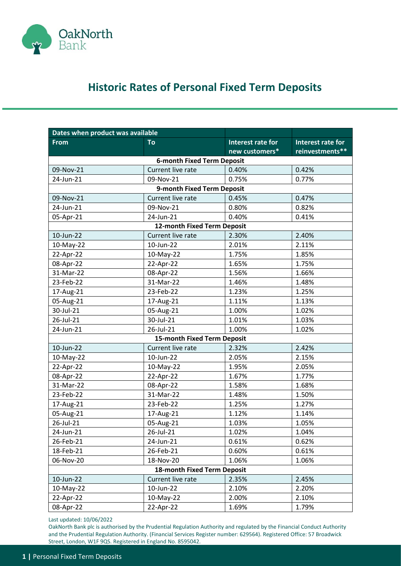

## **Historic Rates of Personal Fixed Term Deposits**

| Dates when product was available |                                   |                   |                          |
|----------------------------------|-----------------------------------|-------------------|--------------------------|
| <b>From</b>                      | To                                | Interest rate for | <b>Interest rate for</b> |
|                                  |                                   | new customers*    | reinvestments**          |
|                                  | <b>6-month Fixed Term Deposit</b> |                   |                          |
| 09-Nov-21                        | Current live rate                 | 0.40%             | 0.42%                    |
| 24-Jun-21                        | 09-Nov-21                         | 0.75%             | 0.77%                    |
|                                  | 9-month Fixed Term Deposit        |                   |                          |
| 09-Nov-21                        | Current live rate                 | 0.45%             | 0.47%                    |
| 24-Jun-21                        | 09-Nov-21                         | 0.80%             | 0.82%                    |
| 05-Apr-21                        | 24-Jun-21                         | 0.40%             | 0.41%                    |
|                                  | 12-month Fixed Term Deposit       |                   |                          |
| 10-Jun-22                        | Current live rate                 | 2.30%             | 2.40%                    |
| 10-May-22                        | 10-Jun-22                         | 2.01%             | 2.11%                    |
| 22-Apr-22                        | 10-May-22                         | 1.75%             | 1.85%                    |
| 08-Apr-22                        | 22-Apr-22                         | 1.65%             | 1.75%                    |
| 31-Mar-22                        | 08-Apr-22                         | 1.56%             | 1.66%                    |
| 23-Feb-22                        | 31-Mar-22                         | 1.46%             | 1.48%                    |
| 17-Aug-21                        | 23-Feb-22                         | 1.23%             | 1.25%                    |
| 05-Aug-21                        | 17-Aug-21                         | 1.11%             | 1.13%                    |
| 30-Jul-21                        | 05-Aug-21                         | 1.00%             | 1.02%                    |
| 26-Jul-21                        | 30-Jul-21                         | 1.01%             | 1.03%                    |
| 24-Jun-21                        | 26-Jul-21                         | 1.00%             | 1.02%                    |
|                                  | 15-month Fixed Term Deposit       |                   |                          |
| 10-Jun-22                        | Current live rate                 | 2.32%             | 2.42%                    |
| 10-May-22                        | 10-Jun-22                         | 2.05%             | 2.15%                    |
| 22-Apr-22                        | 10-May-22                         | 1.95%             | 2.05%                    |
| 08-Apr-22                        | 22-Apr-22                         | 1.67%             | 1.77%                    |
| 31-Mar-22                        | 08-Apr-22                         | 1.58%             | 1.68%                    |
| 23-Feb-22                        | 31-Mar-22                         | 1.48%             | 1.50%                    |
| 17-Aug-21                        | 23-Feb-22                         | 1.25%             | 1.27%                    |
| 05-Aug-21                        | 17-Aug-21                         | 1.12%             | 1.14%                    |
| 26-Jul-21                        | 05-Aug-21                         | 1.03%             | 1.05%                    |
| 24-Jun-21                        | 26-Jul-21                         | 1.02%             | 1.04%                    |
| 26-Feb-21                        | 24-Jun-21                         | 0.61%             | 0.62%                    |
| 18-Feb-21                        | 26-Feb-21                         | 0.60%             | 0.61%                    |
| 06-Nov-20                        | 18-Nov-20                         | 1.06%             | 1.06%                    |
| 18-month Fixed Term Deposit      |                                   |                   |                          |
| 10-Jun-22                        | Current live rate                 | 2.35%             | 2.45%                    |
| 10-May-22                        | 10-Jun-22                         | 2.10%             | 2.20%                    |
| 22-Apr-22                        | 10-May-22                         | 2.00%             | 2.10%                    |
| 08-Apr-22                        | 22-Apr-22                         | 1.69%             | 1.79%                    |

Last updated: 10/06/2022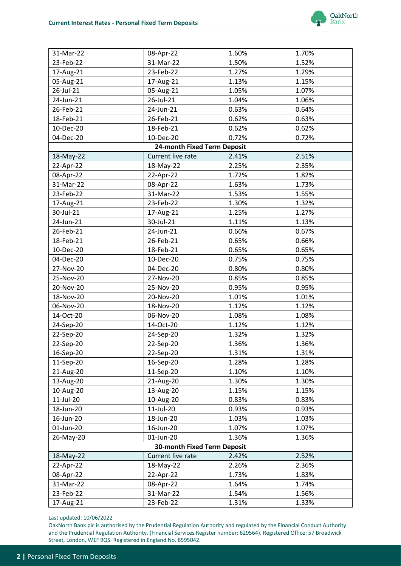

| 31-Mar-22                          | 08-Apr-22                   | 1.60% | 1.70% |  |
|------------------------------------|-----------------------------|-------|-------|--|
| 23-Feb-22                          | 31-Mar-22                   | 1.50% | 1.52% |  |
| 17-Aug-21                          | 23-Feb-22                   | 1.27% | 1.29% |  |
| 05-Aug-21                          | 17-Aug-21                   | 1.13% | 1.15% |  |
| 26-Jul-21                          | 05-Aug-21                   | 1.05% | 1.07% |  |
| 24-Jun-21                          | 26-Jul-21                   | 1.04% | 1.06% |  |
| 26-Feb-21                          | 24-Jun-21                   | 0.63% | 0.64% |  |
| 18-Feb-21                          | 26-Feb-21                   | 0.62% | 0.63% |  |
| 10-Dec-20                          | 18-Feb-21                   | 0.62% | 0.62% |  |
| 04-Dec-20                          | 10-Dec-20                   | 0.72% | 0.72% |  |
|                                    | 24-month Fixed Term Deposit |       |       |  |
| 18-May-22                          | Current live rate           | 2.41% | 2.51% |  |
| 22-Apr-22                          | 18-May-22                   | 2.25% | 2.35% |  |
| 08-Apr-22                          | 22-Apr-22                   | 1.72% | 1.82% |  |
| 31-Mar-22                          | 08-Apr-22                   | 1.63% | 1.73% |  |
| 23-Feb-22                          | 31-Mar-22                   | 1.53% | 1.55% |  |
| 17-Aug-21                          | 23-Feb-22                   | 1.30% | 1.32% |  |
| 30-Jul-21                          | 17-Aug-21                   | 1.25% | 1.27% |  |
| 24-Jun-21                          | 30-Jul-21                   | 1.11% | 1.13% |  |
| 26-Feb-21                          | 24-Jun-21                   | 0.66% | 0.67% |  |
| 18-Feb-21                          | 26-Feb-21                   | 0.65% | 0.66% |  |
| 10-Dec-20                          | 18-Feb-21                   | 0.65% | 0.65% |  |
| 04-Dec-20                          | 10-Dec-20                   | 0.75% | 0.75% |  |
| 27-Nov-20                          | 04-Dec-20                   | 0.80% | 0.80% |  |
| 25-Nov-20                          | 27-Nov-20                   | 0.85% | 0.85% |  |
| 20-Nov-20                          | 25-Nov-20                   | 0.95% | 0.95% |  |
| 18-Nov-20                          | 20-Nov-20                   | 1.01% | 1.01% |  |
| 06-Nov-20                          | 18-Nov-20                   | 1.12% | 1.12% |  |
| 14-Oct-20                          | 06-Nov-20                   | 1.08% | 1.08% |  |
| 24-Sep-20                          | 14-Oct-20                   | 1.12% | 1.12% |  |
| 22-Sep-20                          | 24-Sep-20                   | 1.32% | 1.32% |  |
| 22-Sep-20                          | 22-Sep-20                   | 1.36% | 1.36% |  |
| 16-Sep-20                          | 22-Sep-20                   | 1.31% | 1.31% |  |
| 11-Sep-20                          | 16-Sep-20                   | 1.28% | 1.28% |  |
| 21-Aug-20                          | 11-Sep-20                   | 1.10% | 1.10% |  |
| 13-Aug-20                          | 21-Aug-20                   | 1.30% | 1.30% |  |
| 10-Aug-20                          | 13-Aug-20                   | 1.15% | 1.15% |  |
| 11-Jul-20                          | 10-Aug-20                   | 0.83% | 0.83% |  |
| 18-Jun-20                          | 11-Jul-20                   | 0.93% | 0.93% |  |
| 16-Jun-20                          | 18-Jun-20                   | 1.03% | 1.03% |  |
| 01-Jun-20                          | 16-Jun-20                   | 1.07% | 1.07% |  |
| 26-May-20                          | 01-Jun-20                   | 1.36% | 1.36% |  |
| <b>30-month Fixed Term Deposit</b> |                             |       |       |  |
| 18-May-22                          | Current live rate           | 2.42% | 2.52% |  |
| 22-Apr-22                          | 18-May-22                   | 2.26% | 2.36% |  |
| 08-Apr-22                          | 22-Apr-22                   | 1.73% | 1.83% |  |
| 31-Mar-22                          | 08-Apr-22                   | 1.64% | 1.74% |  |
| 23-Feb-22                          | 31-Mar-22                   | 1.54% | 1.56% |  |
| 17-Aug-21                          | 23-Feb-22                   | 1.31% | 1.33% |  |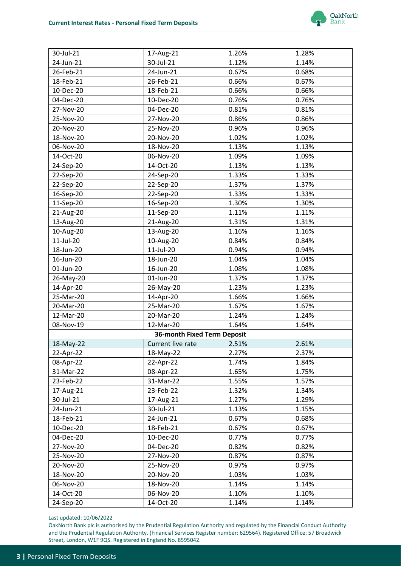

| 30-Jul-21 | 17-Aug-21                          | 1.26% | 1.28% |
|-----------|------------------------------------|-------|-------|
| 24-Jun-21 | 30-Jul-21                          | 1.12% | 1.14% |
| 26-Feb-21 | 24-Jun-21                          | 0.67% | 0.68% |
| 18-Feb-21 | 26-Feb-21                          | 0.66% | 0.67% |
| 10-Dec-20 | 18-Feb-21                          | 0.66% | 0.66% |
| 04-Dec-20 | 10-Dec-20                          | 0.76% | 0.76% |
| 27-Nov-20 | 04-Dec-20                          | 0.81% | 0.81% |
| 25-Nov-20 | 27-Nov-20                          | 0.86% | 0.86% |
| 20-Nov-20 | 25-Nov-20                          | 0.96% | 0.96% |
| 18-Nov-20 | 20-Nov-20                          | 1.02% | 1.02% |
| 06-Nov-20 | 18-Nov-20                          | 1.13% | 1.13% |
| 14-Oct-20 | 06-Nov-20                          | 1.09% | 1.09% |
| 24-Sep-20 | 14-Oct-20                          | 1.13% | 1.13% |
| 22-Sep-20 | 24-Sep-20                          | 1.33% | 1.33% |
| 22-Sep-20 | 22-Sep-20                          | 1.37% | 1.37% |
| 16-Sep-20 | 22-Sep-20                          | 1.33% | 1.33% |
| 11-Sep-20 | 16-Sep-20                          | 1.30% | 1.30% |
| 21-Aug-20 | 11-Sep-20                          | 1.11% | 1.11% |
| 13-Aug-20 | 21-Aug-20                          | 1.31% | 1.31% |
| 10-Aug-20 | 13-Aug-20                          | 1.16% | 1.16% |
| 11-Jul-20 | 10-Aug-20                          | 0.84% | 0.84% |
| 18-Jun-20 | 11-Jul-20                          | 0.94% | 0.94% |
| 16-Jun-20 | 18-Jun-20                          | 1.04% | 1.04% |
| 01-Jun-20 | 16-Jun-20                          | 1.08% | 1.08% |
| 26-May-20 | 01-Jun-20                          | 1.37% | 1.37% |
| 14-Apr-20 | 26-May-20                          | 1.23% | 1.23% |
| 25-Mar-20 | 14-Apr-20                          | 1.66% | 1.66% |
| 20-Mar-20 | 25-Mar-20                          | 1.67% | 1.67% |
| 12-Mar-20 | 20-Mar-20                          | 1.24% | 1.24% |
| 08-Nov-19 | 12-Mar-20                          | 1.64% | 1.64% |
|           | <b>36-month Fixed Term Deposit</b> |       |       |
| 18-May-22 | Current live rate                  | 2.51% | 2.61% |
| 22-Apr-22 | 18-May-22                          | 2.27% | 2.37% |
| 08-Apr-22 | 22-Apr-22                          | 1.74% | 1.84% |
| 31-Mar-22 | 08-Apr-22                          | 1.65% | 1.75% |
| 23-Feb-22 | 31-Mar-22                          | 1.55% | 1.57% |
| 17-Aug-21 | 23-Feb-22                          | 1.32% | 1.34% |
| 30-Jul-21 | 17-Aug-21                          | 1.27% | 1.29% |
| 24-Jun-21 | 30-Jul-21                          | 1.13% | 1.15% |
| 18-Feb-21 | 24-Jun-21                          | 0.67% | 0.68% |
| 10-Dec-20 | 18-Feb-21                          | 0.67% | 0.67% |
| 04-Dec-20 | 10-Dec-20                          | 0.77% | 0.77% |
| 27-Nov-20 | 04-Dec-20                          | 0.82% | 0.82% |
| 25-Nov-20 | 27-Nov-20                          | 0.87% | 0.87% |
| 20-Nov-20 | 25-Nov-20                          | 0.97% | 0.97% |
| 18-Nov-20 | 20-Nov-20                          | 1.03% | 1.03% |
| 06-Nov-20 | 18-Nov-20                          | 1.14% | 1.14% |
| 14-Oct-20 | 06-Nov-20                          | 1.10% | 1.10% |
| 24-Sep-20 | 14-Oct-20                          | 1.14% | 1.14% |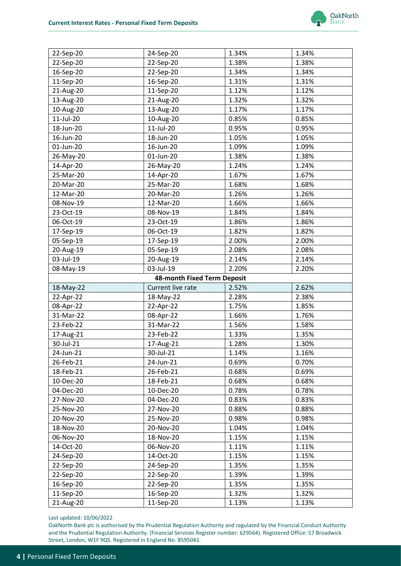

| 22-Sep-20                   | 24-Sep-20              | 1.34%          | 1.34%          |  |
|-----------------------------|------------------------|----------------|----------------|--|
| 22-Sep-20                   | 22-Sep-20              | 1.38%          | 1.38%          |  |
| 16-Sep-20                   | 22-Sep-20              | 1.34%          | 1.34%          |  |
| 11-Sep-20                   | 16-Sep-20              | 1.31%          | 1.31%          |  |
| 21-Aug-20                   | 11-Sep-20              | 1.12%          | 1.12%          |  |
| 13-Aug-20                   | 21-Aug-20              | 1.32%          | 1.32%          |  |
| 10-Aug-20                   | 13-Aug-20              | 1.17%          | 1.17%          |  |
| 11-Jul-20                   | 10-Aug-20              | 0.85%          | 0.85%          |  |
| 18-Jun-20                   | 11-Jul-20              | 0.95%          | 0.95%          |  |
| 16-Jun-20                   | 18-Jun-20              | 1.05%          | 1.05%          |  |
| 01-Jun-20                   | 16-Jun-20              | 1.09%          | 1.09%          |  |
| 26-May-20                   | 01-Jun-20              | 1.38%          | 1.38%          |  |
| 14-Apr-20                   | 26-May-20              | 1.24%          | 1.24%          |  |
| 25-Mar-20                   | 14-Apr-20              | 1.67%          | 1.67%          |  |
| 20-Mar-20                   | 25-Mar-20              | 1.68%          | 1.68%          |  |
| 12-Mar-20                   | 20-Mar-20              | 1.26%          | 1.26%          |  |
| 08-Nov-19                   | 12-Mar-20              | 1.66%          | 1.66%          |  |
| 23-Oct-19                   | 08-Nov-19              | 1.84%          | 1.84%          |  |
| 06-Oct-19                   | 23-Oct-19              | 1.86%          | 1.86%          |  |
| 17-Sep-19                   | 06-Oct-19              | 1.82%          | 1.82%          |  |
| 05-Sep-19                   | 17-Sep-19              | 2.00%          | 2.00%          |  |
| 20-Aug-19                   | 05-Sep-19              | 2.08%          | 2.08%          |  |
| 03-Jul-19                   | 20-Aug-19              | 2.14%          | 2.14%          |  |
| 08-May-19                   | 03-Jul-19              | 2.20%          | 2.20%          |  |
| 48-month Fixed Term Deposit |                        |                |                |  |
|                             |                        |                |                |  |
| 18-May-22                   | Current live rate      | 2.52%          | 2.62%          |  |
| 22-Apr-22                   | 18-May-22              | 2.28%          | 2.38%          |  |
| 08-Apr-22                   | 22-Apr-22              | 1.75%          | 1.85%          |  |
| 31-Mar-22                   | 08-Apr-22              | 1.66%          | 1.76%          |  |
| 23-Feb-22                   | 31-Mar-22              | 1.56%          | 1.58%          |  |
| 17-Aug-21                   | 23-Feb-22              | 1.33%          | 1.35%          |  |
| 30-Jul-21                   | 17-Aug-21              | 1.28%          | 1.30%          |  |
| 24-Jun-21                   | 30-Jul-21              | 1.14%          | 1.16%          |  |
| 26-Feb-21                   | 24-Jun-21              | 0.69%          | 0.70%          |  |
| 18-Feb-21                   | 26-Feb-21              | 0.68%          | 0.69%          |  |
| 10-Dec-20                   | 18-Feb-21              | 0.68%          | 0.68%          |  |
| 04-Dec-20                   | 10-Dec-20              | 0.78%          | 0.78%          |  |
| 27-Nov-20                   | 04-Dec-20              | 0.83%          | 0.83%          |  |
| 25-Nov-20                   | 27-Nov-20              | 0.88%          | 0.88%          |  |
| 20-Nov-20                   | 25-Nov-20              | 0.98%          | 0.98%          |  |
| 18-Nov-20                   | 20-Nov-20              | 1.04%          | 1.04%          |  |
| 06-Nov-20                   | 18-Nov-20              | 1.15%          | 1.15%          |  |
| 14-Oct-20                   | 06-Nov-20              | 1.11%          | 1.11%          |  |
| 24-Sep-20                   | 14-Oct-20              | 1.15%          | 1.15%          |  |
| 22-Sep-20                   | 24-Sep-20              | 1.35%          | 1.35%          |  |
| 22-Sep-20                   | 22-Sep-20              | 1.39%          | 1.39%          |  |
| 16-Sep-20                   | 22-Sep-20              | 1.35%          | 1.35%          |  |
| 11-Sep-20<br>21-Aug-20      | 16-Sep-20<br>11-Sep-20 | 1.32%<br>1.13% | 1.32%<br>1.13% |  |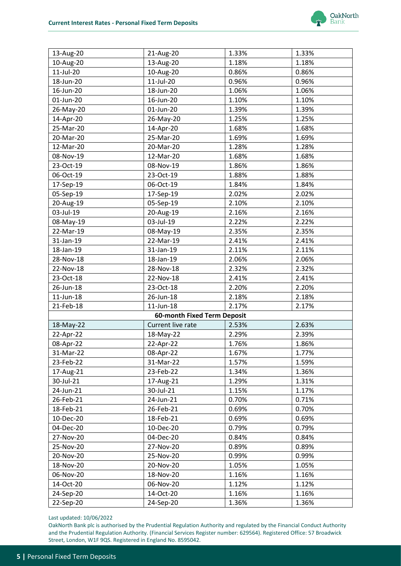

| 13-Aug-20                                        | 21-Aug-20                   | 1.33% | 1.33% |  |
|--------------------------------------------------|-----------------------------|-------|-------|--|
| 10-Aug-20                                        | 13-Aug-20                   | 1.18% | 1.18% |  |
| 11-Jul-20                                        | 10-Aug-20                   | 0.86% | 0.86% |  |
| 18-Jun-20                                        | 11-Jul-20                   | 0.96% | 0.96% |  |
| 16-Jun-20                                        | 18-Jun-20                   | 1.06% | 1.06% |  |
| 01-Jun-20                                        | 16-Jun-20                   | 1.10% | 1.10% |  |
| 26-May-20                                        | 01-Jun-20                   | 1.39% | 1.39% |  |
| 14-Apr-20                                        | 26-May-20                   | 1.25% | 1.25% |  |
| 25-Mar-20                                        | 14-Apr-20                   | 1.68% | 1.68% |  |
| 20-Mar-20                                        | 25-Mar-20                   | 1.69% | 1.69% |  |
| 12-Mar-20                                        | 20-Mar-20                   | 1.28% | 1.28% |  |
| 08-Nov-19                                        | 12-Mar-20                   | 1.68% | 1.68% |  |
| 23-Oct-19                                        | 08-Nov-19                   | 1.86% | 1.86% |  |
| 06-Oct-19                                        | 23-Oct-19                   | 1.88% | 1.88% |  |
| 17-Sep-19                                        | 06-Oct-19                   | 1.84% | 1.84% |  |
| 05-Sep-19                                        | 17-Sep-19                   | 2.02% | 2.02% |  |
| 20-Aug-19                                        | 05-Sep-19                   | 2.10% | 2.10% |  |
| 03-Jul-19                                        | 20-Aug-19                   | 2.16% | 2.16% |  |
| 08-May-19                                        | 03-Jul-19                   | 2.22% | 2.22% |  |
| 22-Mar-19                                        | 08-May-19                   | 2.35% | 2.35% |  |
| 31-Jan-19                                        | 22-Mar-19                   | 2.41% | 2.41% |  |
| 18-Jan-19                                        | 31-Jan-19                   | 2.11% | 2.11% |  |
| 28-Nov-18                                        | 18-Jan-19                   | 2.06% | 2.06% |  |
| 22-Nov-18                                        | 28-Nov-18                   | 2.32% | 2.32% |  |
| 23-Oct-18                                        | 22-Nov-18                   | 2.41% | 2.41% |  |
| 26-Jun-18                                        | 23-Oct-18                   | 2.20% | 2.20% |  |
| $11$ -Jun- $18$                                  | 26-Jun-18                   | 2.18% | 2.18% |  |
| 21-Feb-18                                        | 11-Jun-18                   | 2.17% | 2.17% |  |
|                                                  | 60-month Fixed Term Deposit |       |       |  |
| 18-May-22<br>Current live rate<br>2.53%<br>2.63% |                             |       |       |  |
| 22-Apr-22                                        | 18-May-22                   | 2.29% | 2.39% |  |
| 08-Apr-22                                        | 22-Apr-22                   | 1.76% | 1.86% |  |
| 31-Mar-22                                        | 08-Apr-22                   | 1.67% | 1.77% |  |
| 23-Feb-22                                        | 31-Mar-22                   | 1.57% | 1.59% |  |
| 17-Aug-21                                        | 23-Feb-22                   | 1.34% | 1.36% |  |
| 30-Jul-21                                        | 17-Aug-21                   | 1.29% | 1.31% |  |
| 24-Jun-21                                        | 30-Jul-21                   | 1.15% | 1.17% |  |
| 26-Feb-21                                        | 24-Jun-21                   | 0.70% | 0.71% |  |
| 18-Feb-21                                        | 26-Feb-21                   | 0.69% | 0.70% |  |
| 10-Dec-20                                        | 18-Feb-21                   | 0.69% | 0.69% |  |
| 04-Dec-20                                        | 10-Dec-20                   | 0.79% | 0.79% |  |
| 27-Nov-20                                        | 04-Dec-20                   | 0.84% | 0.84% |  |
| 25-Nov-20                                        | 27-Nov-20                   | 0.89% | 0.89% |  |
| 20-Nov-20                                        | 25-Nov-20                   | 0.99% | 0.99% |  |
| 18-Nov-20                                        | 20-Nov-20                   | 1.05% | 1.05% |  |
| 06-Nov-20                                        | 18-Nov-20                   | 1.16% | 1.16% |  |
| 14-Oct-20                                        | 06-Nov-20                   | 1.12% | 1.12% |  |
| 24-Sep-20                                        | 14-Oct-20                   | 1.16% | 1.16% |  |
| 22-Sep-20                                        | 24-Sep-20                   | 1.36% | 1.36% |  |
|                                                  |                             |       |       |  |